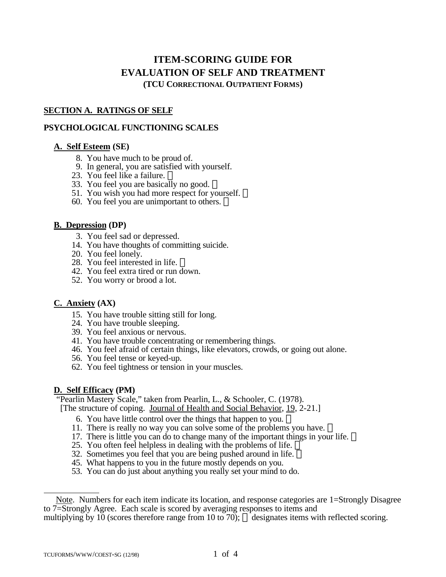# **ITEM-SCORING GUIDE FOR EVALUATION OF SELF AND TREATMENT (TCU CORRECTIONAL OUTPATIENT FORMS)**

# **SECTION A. RATINGS OF SELF**

# **PSYCHOLOGICAL FUNCTIONING SCALES**

# **A. Self Esteem (SE)**

- 8. You have much to be proud of.
- 9. In general, you are satisfied with yourself.
- 23. You feel like a failure.
- 33. You feel you are basically no good.
- 51. You wish you had more respect for yourself.  $\mathbb{R}$
- 60. You feel you are unimportant to others.  $\mathbb{R}$

### **B. Depression (DP)**

- 3. You feel sad or depressed.
- 14. You have thoughts of committing suicide.
- 20. You feel lonely.
- 28. You feel interested in life. ®
- 42. You feel extra tired or run down.
- 52. You worry or brood a lot.

# **C. Anxiety (AX)**

- 15. You have trouble sitting still for long.
- 24. You have trouble sleeping.
- 39. You feel anxious or nervous.
- 41. You have trouble concentrating or remembering things.
- 46. You feel afraid of certain things, like elevators, crowds, or going out alone.
- 56. You feel tense or keyed-up.
- 62. You feel tightness or tension in your muscles.

# **D. Self Efficacy (PM)**

 "Pearlin Mastery Scale," taken from Pearlin, L., & Schooler, C. (1978). [The structure of coping. Journal of Health and Social Behavior, 19, 2-21.]

- 6. You have little control over the things that happen to you.
- 11. There is really no way you can solve some of the problems you have.
- 17. There is little you can do to change many of the important things in your life.
- 25. You often feel helpless in dealing with the problems of life.  $\overline{\mathbb{D}}$
- 32. Sometimes you feel that you are being pushed around in life.
- 45. What happens to you in the future mostly depends on you.
- 53. You can do just about anything you really set your mind to do.

 $\overline{a}$ 

Note. Numbers for each item indicate its location, and response categories are 1=Strongly Disagree to 7=Strongly Agree. Each scale is scored by averaging responses to items and multiplying by 10 (scores therefore range from 10 to 70);  $\circledR$  designates items with reflected scoring.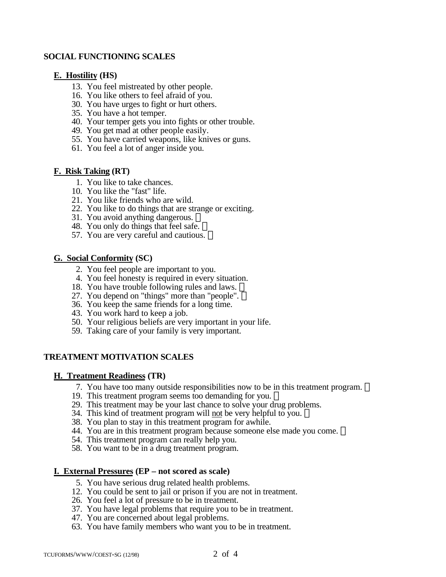### **SOCIAL FUNCTIONING SCALES**

### **E. Hostility (HS)**

- 13. You feel mistreated by other people.
- 16. You like others to feel afraid of you.
- 30. You have urges to fight or hurt others.
- 35. You have a hot temper.
- 40. Your temper gets you into fights or other trouble.
- 49. You get mad at other people easily.
- 55. You have carried weapons, like knives or guns.
- 61. You feel a lot of anger inside you.

#### **F. Risk Taking (RT)**

- 1. You like to take chances.
- 10. You like the "fast" life.
- 21. You like friends who are wild.
- 22. You like to do things that are strange or exciting.
- 31. You avoid anything dangerous.
- 48. You only do things that feel safe.
- 57. You are very careful and cautious.

### **G. Social Conformity (SC)**

- 2. You feel people are important to you.
- 4. You feel honesty is required in every situation.
- 18. You have trouble following rules and laws. ®
- 27. You depend on "things" more than "people".
- 36. You keep the same friends for a long time.
- 43. You work hard to keep a job.
- 50. Your religious beliefs are very important in your life.
- 59. Taking care of your family is very important.

# **TREATMENT MOTIVATION SCALES**

# **H. Treatment Readiness (TR)**

- 7. You have too many outside responsibilities now to be in this treatment program.
- 19. This treatment program seems too demanding for you.
- 29. This treatment may be your last chance to solve your drug problems.
- 34. This kind of treatment program will not be very helpful to you.
- 38. You plan to stay in this treatment program for awhile.
- 44. You are in this treatment program because someone else made you come. ®
- 54. This treatment program can really help you.
- 58. You want to be in a drug treatment program.

# **I. External Pressures (EP – not scored as scale)**

- 5. You have serious drug related health problems.
- 12. You could be sent to jail or prison if you are not in treatment.
- 26. You feel a lot of pressure to be in treatment.
- 37. You have legal problems that require you to be in treatment.
- 47. You are concerned about legal problems.
- 63. You have family members who want you to be in treatment.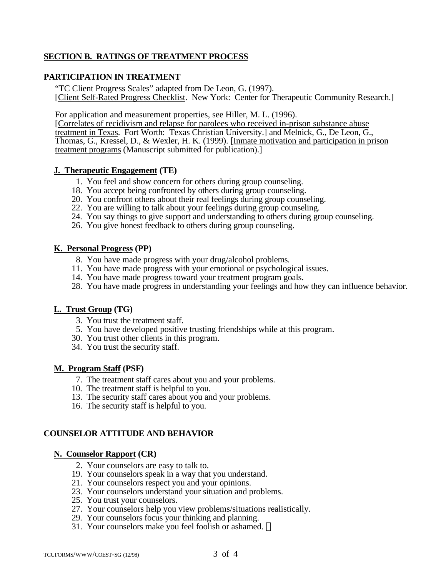# **SECTION B. RATINGS OF TREATMENT PROCESS**

### **PARTICIPATION IN TREATMENT**

"TC Client Progress Scales" adapted from De Leon, G. (1997). [Client Self-Rated Progress Checklist. New York: Center for Therapeutic Community Research.]

For application and measurement properties, see Hiller, M. L. (1996).

[Correlates of recidivism and relapse for parolees who received in-prison substance abuse treatment in Texas. Fort Worth: Texas Christian University.] and Melnick, G., De Leon, G., Thomas, G., Kressel, D., & Wexler, H. K. (1999). [Inmate motivation and participation in prison treatment programs (Manuscript submitted for publication).]

### **J. Therapeutic Engagement (TE)**

- 1. You feel and show concern for others during group counseling.
- 18. You accept being confronted by others during group counseling.
- 20. You confront others about their real feelings during group counseling.
- 22. You are willing to talk about your feelings during group counseling.
- 24. You say things to give support and understanding to others during group counseling.
- 26. You give honest feedback to others during group counseling.

### **K. Personal Progress (PP)**

- 8. You have made progress with your drug/alcohol problems.
- 11. You have made progress with your emotional or psychological issues.
- 14. You have made progress toward your treatment program goals.
- 28. You have made progress in understanding your feelings and how they can influence behavior.

# **L. Trust Group (TG)**

- 3. You trust the treatment staff.
- 5. You have developed positive trusting friendships while at this program.
- 30. You trust other clients in this program.
- 34. You trust the security staff.

# **M. Program Staff (PSF)**

- 7. The treatment staff cares about you and your problems.
- 10. The treatment staff is helpful to you.
- 13. The security staff cares about you and your problems.
- 16. The security staff is helpful to you.

# **COUNSELOR ATTITUDE AND BEHAVIOR**

#### **N. Counselor Rapport (CR)**

- 2. Your counselors are easy to talk to.
- 19. Your counselors speak in a way that you understand.
- 21. Your counselors respect you and your opinions.
- 23. Your counselors understand your situation and problems.
- 25. You trust your counselors.
- 27. Your counselors help you view problems/situations realistically.
- 29. Your counselors focus your thinking and planning.
- 31. Your counselors make you feel foolish or ashamed.